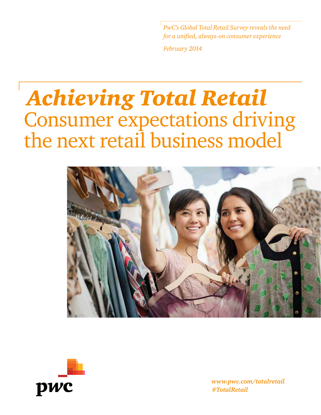*<i>C***'s Global Total Retail Survey reveals the need** *for a unified, always-on consumer experience*

*February 2014*

## *Achieving Total Retail* Consumer expectations driving the next retail business model





*www.pwc.com/totalretail #TotalRetail*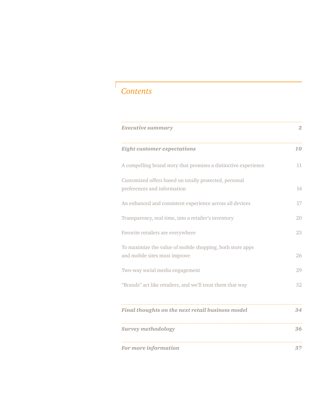## *Contents*

| <b>Executive summary</b>                                                                   | 2  |
|--------------------------------------------------------------------------------------------|----|
| <b>Eight customer expectations</b>                                                         | 10 |
| A compelling brand story that promises a distinctive experience                            | 11 |
| Customized offers based on totally protected, personal<br>preferences and information      | 14 |
| An enhanced and consistent experience across all devices                                   | 17 |
| Transparency, real time, into a retailer's inventory                                       | 20 |
| Favorite retailers are everywhere                                                          | 23 |
| To maximize the value of mobile shopping, both store apps<br>and mobile sites must improve | 26 |
| Two-way social media engagement                                                            | 29 |
| "Brands" act like retailers, and we'll treat them that way                                 | 32 |
| Final thoughts on the next retail business model                                           | 34 |
| <b>Survey methodology</b>                                                                  | 36 |
| For more information                                                                       | 37 |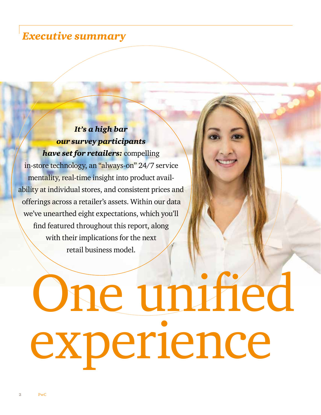## *Executive summary*

## *It's a high bar our survey participants*

*have set for retailers:* compelling in-store technology, an "always-on" 24/7 service mentality, real-time insight into product availability at individual stores, and consistent prices and offerings across a retailer's assets. Within our data we've unearthed eight expectations, which you'll find featured throughout this report, along with their implications for the next retail business model.

# One unified experience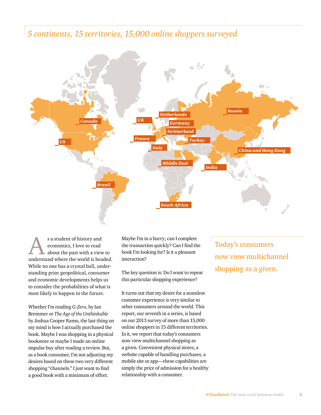### *5 continents, 15 territories, 15,000 online shoppers surveyed*



s a student of history and economics, I love to read about the past with a view to understand where the world is headed. While no one has a crystal ball, understanding prior geopolitical, consumer and economic developments helps us to consider the probabilities of what is most likely to happen in the future.

Whether I'm reading *G-Zero,* by Ian Bremmer or *The Age of the Unthinkable*  by Joshua Cooper Ramo, the last thing on my mind is how I actually purchased the book. Maybe I was shopping in a physical bookstore or maybe I made an online impulse buy after reading a review. But, as a book consumer, I'm not adjusting my desires based on these two very different shopping "channels." I just want to find a good book with a minimum of effort.

Maybe I'm in a hurry; can I complete the transaction quickly? Can I find the book I'm looking for? Is it a pleasant interaction?

The key question is: Do I want to repeat this particular shopping experience?

It turns out that my desire for a seamless customer experience is very similar to other consumers around the world. This report, our seventh in a series, is based on our 2013 survey of more than 15,000 online shoppers in 15 different territories. In it, we report that today's consumers now view multichannel shopping as a given. Convenient physical stores, a website capable of handling purchases, a mobile site or app—these capabilities are simply the price of admission for a healthy relationship with a consumer.

Today's consumers now view multichannel shopping as a given.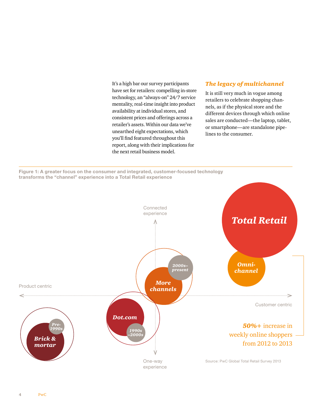It's a high bar our survey participants have set for retailers: compelling in-store technology, an "always-on" 24/7 service mentality, real-time insight into product availability at individual stores, and consistent prices and offerings across a retailer's assets. Within our data we've unearthed eight expectations, which you'll find featured throughout this report, along with their implications for the next retail business model.

#### *The legacy of multichannel*

It is still very much in vogue among retailers to celebrate shopping channels, as if the physical store and the different devices through which online sales are conducted—the laptop, tablet, or smartphone—are standalone pipelines to the consumer.

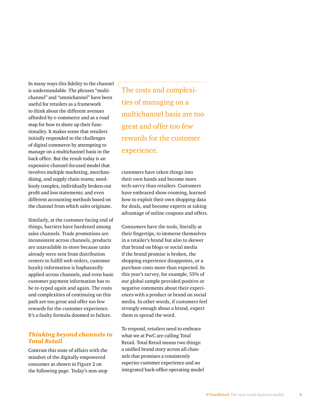In many ways this fidelity to the channel is understandable. The phrases "multi channel" and "omnichannel" have been useful for retailers as a framework to think about the different avenues afforded by e-commerce and as a road map for how to shore up their func tionality. It makes sense that retailers initially responded to the challenges of digital commerce by attempting to manage on a multichannel basis in the back office. But the result today is an expensive channel-focused model that involves multiple marketing, merchan dising, and supply chain teams; need lessly complex, individually broken-out profit and loss statements; and even different accounting methods based on the channel from which sales originate.

Similarly, at the customer-facing end of things, barriers have hardened among sales channels. Trade promotions are inconsistent across channels, products are unavailable in-store because units already were sent from distribution centers to fulfill web orders, customer loyalty information is haphazardly applied across channels, and even basic customer payment information has to be re-typed again and again. The costs and complexities of continuing on this path are too great and offer too few rewards for the customer experience. It's a faulty formula doomed to failure.

#### *Thinking beyond channels to Total Retail*

Contrast this state of affairs with the mindset of the digitally empowered consumer as shown in Figure 2 on the following page. Today's non-stop

The costs and complexi ties of managing on a multichannel basis are too great and offer too few rewards for the customer experience.

customers have taken things into their own hands and become more tech-savvy than retailers. Customers have embraced show-rooming, learned how to exploit their own shopping data for deals, and become experts at taking advantage of online coupons and offers.

Consumers have the tools, literally at their fingertips, to immerse themselves in a retailer's brand but also to skewer that brand on blogs or social media if the brand promise is broken, the shopping experience disappoints, or a purchase costs more than expected. In this year's survey, for example, 55% of our global sample provided positive or negative comments about their experi ences with a product or brand on social media. In other words, if customers feel strongly enough about a brand, expect them to spread the word.

To respond, retailers need to embrace what we at PwC are calling Total Retail. Total Retail means two things: a unified brand story across all chan nels that promises a consistently superior customer experience and an integrated back-office operating model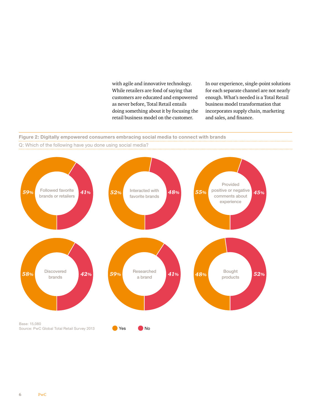with agile and innovative technology. While retailers are fond of saying that customers are educated and empowered as never before, Total Retail entails doing something about it by focusing the retail business model on the customer.

In our experience, single-point solutions for each separate channel are not nearly enough. What's needed is a Total Retail business model transformation that incorporates supply chain, marketing and sales, and finance.

#### **Figure 2: Digitally empowered consumers embracing social media to connect with brands**



Q: Which of the following have you done using social media?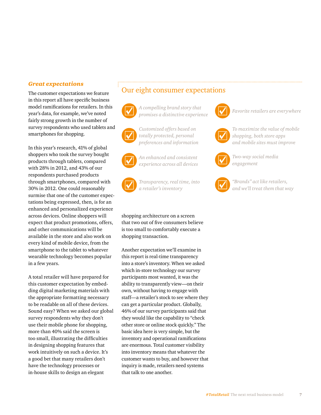#### *Great expectations*

The customer expectations we feature in this report all have specific business model ramifications for retailers. In this year's data, for example, we've noted fairly strong growth in the number of survey respondents who used tablets and smartphones for shopping.

In this year's research, 41% of global shoppers who took the survey bought products through tablets, compared with 28% in 2012, and 43% of our respondents purchased products through smartphones, compared with 30% in 2012. One could reasonably surmise that one of the customer expectations being expressed, then, is for an enhanced and personalized experience across devices. Online shoppers will expect that product promotions, offers, and other communications will be available in the store and also work on every kind of mobile device, from the smartphone to the tablet to whatever wearable technology becomes popular in a few years.

A total retailer will have prepared for this customer expectation by embedding digital marketing materials with the appropriate formatting necessary to be readable on all of these devices. Sound easy? When we asked our global survey respondents why they don't use their mobile phone for shopping, more than 40% said the screen is too small, illustrating the difficulties in designing shopping features that work intuitively on such a device. It's a good bet that many retailers don't have the technology processes or in-house skills to design an elegant

#### Our eight consumer expectations



*A compelling brand story that promises a distinctive experience* **Favorite retailers are everywhere**  $\Box$ 



*Customized offers based on totally protected, personal preferences and information*

*An enhanced and consistent experience across all devices*



*Transparency, real time, into a retailer's inventory*

shopping architecture on a screen that two out of five consumers believe is too small to comfortably execute a shopping transaction.

Another expectation we'll examine in this report is real-time transparency into a store's inventory. When we asked which in-store technology our survey participants most wanted, it was the ability to transparently view—on their own, without having to engage with staff—a retailer's stock to see where they can get a particular product. Globally, 46% of our survey participants said that they would like the capability to "check other store or online stock quickly." The basic idea here is very simple, but the inventory and operational ramifications are enormous. Total customer visibility into inventory means that whatever the customer wants to buy, and however that inquiry is made, retailers need systems that talk to one another.





*To maximize the value of mobile shopping, both store apps and mobile sites must improve*



*Two-way social media engagement*



*"Brands" act like retailers, and we'll treat them that way*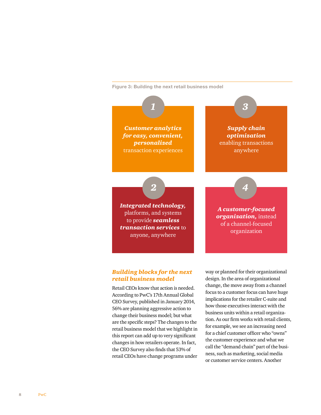**Figure 3: Building the next retail business model**



anyone, anywhere

*A customer-focused organization,* instead

#### *Building blocks for the next retail business model*

Retail CEOs know that action is needed. According to PwC's 17th Annual Global CEO Survey, published in January 2014, 56% are planning aggressive action to change their business model; but what are the specific steps? The changes to the retail business model that we highlight in this report can add up to very significant changes in how retailers operate. In fact, the CEO Survey also finds that 53% of retail CEOs have change programs under way or planned for their organizational design. In the area of organizational change, the move away from a channel focus to a customer focus can have huge implications for the retailer C-suite and how those executives interact with the business units within a retail organization. As our firm works with retail clients, for example, we see an increasing need for a chief customer officer who "owns" the customer experience and what we call the "demand chain" part of the business, such as marketing, social media or customer service centers. Another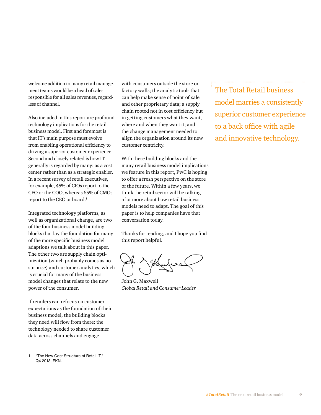welcome addition to many retail management teams would be a head of sales responsible for all sales revenues, regardless of channel.

Also included in this report are profound technology implications for the retail business model. First and foremost is that IT's main purpose must evolve from enabling operational efficiency to driving a superior customer experience. Second and closely related is how IT generally is regarded by many: as a cost center rather than as a strategic enabler. In a recent survey of retail executives, for example, 45% of CIOs report to the CFO or the COO, whereas 65% of CMOs report to the CEO or board.1

Integrated technology platforms, as well as organizational change, are two of the four business model building blocks that lay the foundation for many of the more specific business model adaptions we talk about in this paper. The other two are supply chain optimization (which probably comes as no surprise) and customer analytics, which is crucial for many of the business model changes that relate to the new power of the consumer.

If retailers can refocus on customer expectations as the foundation of their business model, the building blocks they need will flow from there: the technology needed to share customer data across channels and engage

with consumers outside the store or factory walls; the analytic tools that can help make sense of point-of-sale and other proprietary data; a supply chain rooted not in cost efficiency but in getting customers what they want, where and when they want it; and the change management needed to align the organization around its new customer centricity.

With these building blocks and the many retail business model implications we feature in this report, PwC is hoping to offer a fresh perspective on the store of the future. Within a few years, we think the retail sector will be talking a lot more about how retail business models need to adapt. The goal of this paper is to help companies have that conversation today.

Thanks for reading, and I hope you find this report helpful.

John G. Maxwell *Global Retail and Consumer Leader*

The Total Retail business model marries a consistently superior customer experience to a back office with agile and innovative technology.

<sup>&</sup>quot;The New Cost Structure of Retail IT." Q4 2013, EKN.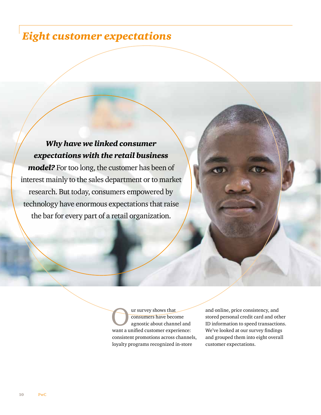## *Eight customer expectations*

*Why have we linked consumer expectations with the retail business model?* For too long, the customer has been of interest mainly to the sales department or to market research. But today, consumers empowered by technology have enormous expectations that raise the bar for every part of a retail organization.

> UP survey shows that<br>
> consumers have beco<br>
> agnostic about chann consumers have become agnostic about channel and want a unified customer experience: consistent promotions across channels, loyalty programs recognized in-store

and online, price consistency, and stored personal credit card and other ID information to speed transactions. We've looked at our survey findings and grouped them into eight overall customer expectations.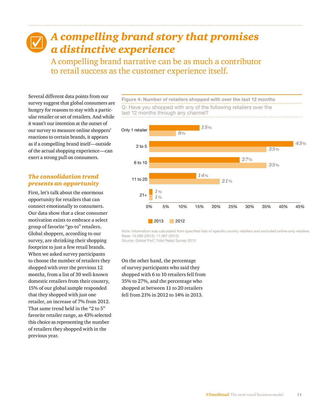## *A compelling brand story that promises a distinctive experience*

A compelling brand narrative can be as much a contributor to retail success as the customer experience itself.

Several different data points from our survey suggest that global consumers are hungry for reasons to stay with a particular retailer or set of retailers. And while it wasn't our intention at the outset of our survey to measure online shoppers' reactions to certain brands, it appears as if a compelling brand itself—outside of the actual shopping experience—can exert a strong pull on consumers.

#### *The consolidation trend presents an opportunity*

First, let's talk about the enormous opportunity for retailers that can connect emotionally to consumers. Our data show that a clear consumer motivation exists to embrace a select group of favorite "go-to" retailers. Global shoppers, according to our survey, are shrinking their shopping footprint to just a few retail brands. When we asked survey participants to choose the number of retailers they shopped with over the previous 12 months, from a list of 30 well-known domestic retailers from their country, 15% of our global sample responded that they shopped with just one retailer, an increase of 7% from 2012. That same trend held in the "2 to 5" favorite retailer range, as 43% selected this choice as representing the number of retailers they shopped with in the previous year.

**Figure 4: Number of retailers shopped with over the last 12 months** Q: Have you shopped with any of the following retailers over the last 12 months through any channel?



Note: Information was calculated from specified lists of specific country retailers and excluded online-only retailers. Base: 15,080 (2013); 11,067 (2012) Source: Global PwC Total Retail Survey 2013

On the other hand, the percentage of survey participants who said they shopped with 6 to 10 retailers fell from 35% to 27%, and the percentage who shopped at between 11 to 20 retailers fell from 21% in 2012 to 14% in 2013.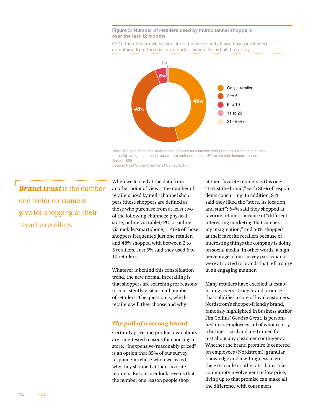#### **Figure 5: Number of retailers used by multichannel shoppers over the last 12 months**

Q: Of the retailers where you shop, please specify if you have purchased something from them in-store and/or online. Select all that apply.



Note: We have defined a multichannel shopper as someone who purchases from at least two of the following channels: physical store; online via tablet /PC or via mobile/smartphone. Base: 4,869

Source: PwC Global Total Retail Survey 2013

*Brand trust* is the number one factor consumers give for shopping at their favorite retailers.

When we looked at the data from another point of view—the number of retailers used by multichannel shoppers (these shoppers are defined as those who purchase from at least two of the following channels: physical store, online via tablet/PC, or online via mobile/smartphone)—46% of those shoppers frequented just one retailer, and 48% shopped with between 2 to 5 retailers. Just 5% said they used 6 to 10 retailers.

Whatever is behind this consolidation trend, the new normal in retailing is that shoppers are searching for reasons to consistently visit a small number of retailers. The question is, which retailers will they choose and why?

#### *The pull of a strong brand*

Certainly price and product availability are time-tested reasons for choosing a store. "Inexpensive/reasonably priced" is an option that 85% of our survey respondents chose when we asked why they shopped at their favorite retailers. But a closer look reveals that the number one reason people shop

at their favorite retailers is this one: "I trust the brand," with 86% of respondents concurring. In addition, 81% said they liked the "store, its location and staff"; 64% said they shopped at favorite retailers because of "different, interesting marketing that catches my imagination;" and 50% shopped at their favorite retailers because of interesting things the company is doing on social media. In other words, a high percentage of our survey participants were attracted to brands that tell a story in an engaging manner.

Many retailers have excelled at establishing a very strong brand promise that solidifies a core of loyal customers. Nordstrom's shopper-friendly brand, famously highlighted in business author Jim Collins' *Good to Great,* is personified in its employees, all of whom carry a business card and are trained for just about any customer contingency. Whether the brand promise is centered on employees (Nordstrom), granular knowledge and a willingness to go the extra mile or other attributes like community involvement or low price, living up to that promise can make all the difference with consumers.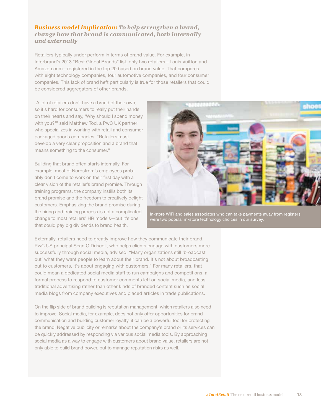#### *Business model implication: To help strengthen a brand, change how that brand is communicated, both internally and externally*

Retailers typically under perform in terms of brand value. For example, in Interbrand's 2013 "Best Global Brands" list, only two retailers—Louis Vuitton and Amazon.com—registered in the top 20 based on brand value. That compares with eight technology companies, four automotive companies, and four consumer companies. This lack of brand heft particularly is true for those retailers that could be considered aggregators of other brands.

"A lot of retailers don't have a brand of their own, so it's hard for consumers to really put their hands on their hearts and say, 'Why should I spend money with you?'" said Matthew Tod, a PwC UK partner who specializes in working with retail and consumer packaged goods companies. "Retailers must develop a very clear proposition and a brand that means something to the consumer."

Building that brand often starts internally. For example, most of Nordstrom's employees probably don't come to work on their first day with a clear vision of the retailer's brand promise. Through training programs, the company instills both its brand promise and the freedom to creatively delight customers. Emphasizing the brand promise during the hiring and training process is not a complicated change to most retailers' HR models—but it's one that could pay big dividends to brand health.



In-store WiFi and sales associates who can take payments away from registers were two popular in-store technology choices in our survey.

Externally, retailers need to greatly improve how they communicate their brand. PwC US principal Sean O'Driscoll, who helps clients engage with customers more successfully through social media, advised, "Many organizations still 'broadcast out' what they want people to learn about their brand. It's not about broadcasting out to customers, it's about engaging with customers." For many retailers, that could mean a dedicated social media staff to run campaigns and competitions, a formal process to respond to customer comments left on social media, and less traditional advertising rather than other kinds of branded content such as social media blogs from company executives and placed articles in trade publications.

On the flip side of brand building is reputation management, which retailers also need to improve. Social media, for example, does not only offer opportunities for brand communication and building customer loyalty, it can be a powerful tool for protecting the brand. Negative publicity or remarks about the company's brand or its services can be quickly addressed by responding via various social media tools. By approaching social media as a way to engage with customers about brand value, retailers are not only able to build brand power, but to manage reputation risks as well.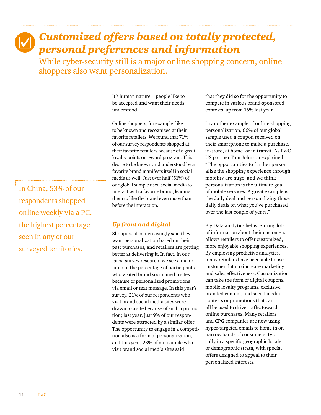## *Customized offers based on totally protected, personal preferences and information*

While cyber-security still is a major online shopping concern, online shoppers also want personalization.

> It's human nature—people like to be accepted and want their needs understood.

Online shoppers, for example, like to be known and recognized at their favorite retailers. We found that 71% of our survey respondents shopped at their favorite retailers because of a great loyalty points or reward program. This desire to be known and understood by a favorite brand manifests itself in social media as well. Just over half (51%) of our global sample used social media to interact with a favorite brand, leading them to like the brand even more than before the interaction.

#### *Up front and digital*

Shoppers also increasingly said they want personalization based on their past purchases, and retailers are getting better at delivering it. In fact, in our latest survey research, we see a major jump in the percentage of participants who visited brand social media sites because of personalized promotions via email or text message. In this year's survey, 21% of our respondents who visit brand social media sites were drawn to a site because of such a promotion; last year, just 9% of our respondents were attracted by a similar offer. The opportunity to engage in a competition also is a form of personalization, and this year, 23% of our sample who visit brand social media sites said

that they did so for the opportunity to compete in various brand-sponsored contests, up from 16% last year.

In another example of online shopping personalization, 66% of our global sample used a coupon received on their smartphone to make a purchase, in-store, at home, or in transit. As PwC US partner Tom Johnson explained, "The opportunities to further personalize the shopping experience through mobility are huge, and we think personalization is the ultimate goal of mobile services. A great example is the daily deal and personalizing those daily deals on what you've purchased over the last couple of years."

Big Data analytics helps. Storing lots of information about their customers allows retailers to offer customized, more enjoyable shopping experiences. By employing predictive analytics, many retailers have been able to use customer data to increase marketing and sales effectiveness. Customization can take the form of digital coupons, mobile loyalty programs, exclusive branded content, and social media contests or promotions that can all be used to drive traffic toward online purchases. Many retailers and CPG companies are now using hyper-targeted emails to home in on narrow bands of consumers, typically in a specific geographic locale or demographic strata, with special offers designed to appeal to their personalized interests.

In China, 53% of our respondents shopped online weekly via a PC, the highest percentage seen in any of our surveyed territories.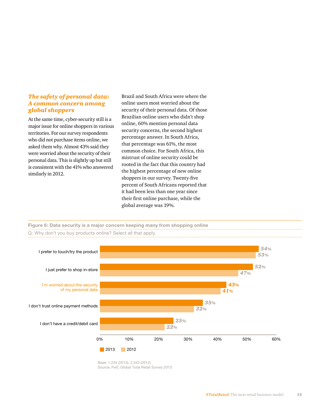#### *The safety of personal data: A common concern among global shoppers*

At the same time, cyber-security still is a major issue for online shoppers in various territories. For our survey respondents who did not purchase items online, we asked them why. Almost 43% said they were worried about the security of their personal data. This is slightly up but still is consistent with the 41% who answered similarly in 2012.

Brazil and South Africa were where the online users most worried about the security of their personal data. Of those Brazilian online users who didn't shop online, 60% mention personal data security concerns, the second highest percentage answer. In South Africa, that percentage was 61%, the most common choice. For South Africa, this mistrust of online security could be rooted in the fact that this country had the highest percentage of new online shoppers in our survey. Twenty-five percent of South Africans reported that it had been less than one year since their first online purchase, while the global average was 19%.





Base: 1,234 (2013); 2,343 (2012) Source: PwC Global Total Retail Survey 2013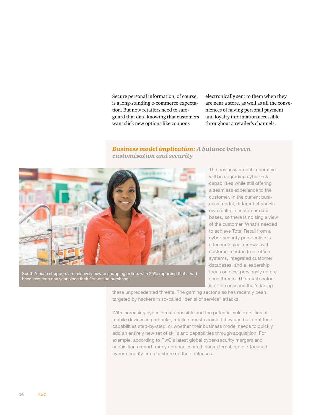Secure personal information, of course, is a long-standing e-commerce expectation. But now retailers need to safeguard that data knowing that customers want slick new options like coupons

electronically sent to them when they are near a store, as well as all the conveniences of having personal payment and loyalty information accessible throughout a retailer's channels.

#### *Business model implication: A balance between customization and security*



South African shoppers are relatively new to shopping online, with 25% reporting that it had been less than one year since their first online purchase.

The business model imperative will be upgrading cyber-risk capabilities while still offering a seamless experience to the customer. In the current business model, different channels own multiple customer databases, so there is no single view of the customer. What's needed to achieve Total Retail from a cyber-security perspective is a technological renewal with customer-centric front office systems, integrated customer databases, and a leadership focus on new, previously unforeseen threats. The retail sector isn't the only one that's facing

these unprecedented threats. The gaming sector also has recently been targeted by hackers in so-called "denial of service" attacks.

With increasing cyber-threats possible and the potential vulnerabilities of mobile devices in particular, retailers must decide if they can build out their capabilities step-by-step, or whether their business model needs to quickly add an entirely new set of skills and capabilities through acquisition. For example, according to PwC's latest global cyber-security mergers and acquisitions report, many companies are hiring external, mobile-focused cyber-security firms to shore up their defenses.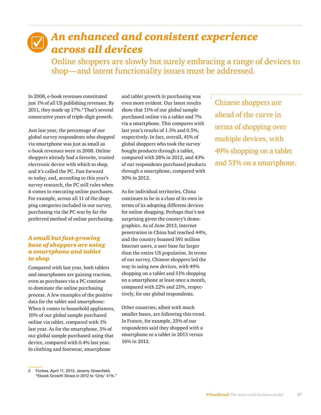## *An enhanced and consistent experience across all devices*

Online shoppers are slowly but surely embracing a range of devices to shop—and latent functionality issues must be addressed.

In 2008, e-book revenues constituted just 1% of all US publishing revenues. By 2011, they made up 17%.<sup>2</sup> That's several consecutive years of triple-digit growth.

Just last year, the percentage of our global survey respondents who shopped via smartphone was just as small as e-book revenues were in 2008. Online shoppers already had a favorite, trusted electronic device with which to shop, and it's called the PC. Fast forward to today, and, according to this year's survey research, the PC still rules when it comes to executing online purchases. For example, across all 11 of the shopping categories included in our survey, purchasing via the PC was by far the preferred method of online purchasing.

#### *A small but fast-growing base of shoppers are using a smartphone and tablet to shop*

Compared with last year, both tablets and smartphones are gaining traction, even as purchases via a PC continue to dominate the online purchasing process. A few examples of the positive data for the tablet and smartphone: When it comes to household appliances, 10% of our global sample purchased online via tablet, compared with 1% last year. As for the smartphone, 5% of our global sample purchased using that device, compared with 0.4% last year. In clothing and footwear, smartphone

and tablet growth in purchasing was even more evident. Our latest results show that 11% of our global sample purchased online via a tablet and 7% via a smartphone. This compares with last year's results of 1.5% and 0.5%, respectively. In fact, overall, 41% of global shoppers who took the survey bought products through a tablet, compared with 28% in 2012, and 43% of our respondents purchased products through a smartphone, compared with 30% in 2012.

As for individual territories, China continues to be in a class of its own in terms of its adopting different devices for online shopping. Perhaps that's not surprising given the country's demographics. As of June 2013, Internet penetration in China had reached 44%, and the country boasted 591 million Internet users, a user base far larger than the entire US population. In terms of our survey, Chinese shoppers led the way in using new devices, with 49% shopping on a tablet and 51% shopping on a smartphone at least once a month, compared with 22% and 21%, respectively, for our global respondents.

Other countries, albeit with much smaller bases, are following this trend. In France, for example, 25% of our respondents said they shopped with a smartphone or a tablet in 2013 versus 16% in 2012.

Chinese shoppers are ahead of the curve in terms of shopping over multiple devices, with 49% shopping on a tablet and 51% on a smartphone.

<sup>2</sup> Forbes, April 11, 2013, Jeremy Greenfield, "Ebook Growth Slows in 2012 to 'Only' 41%."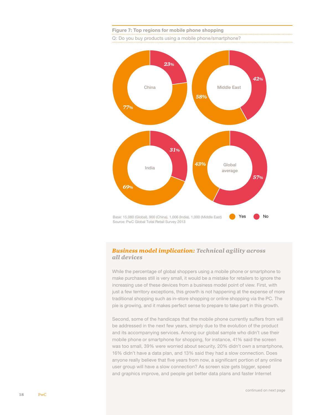

#### **Figure 7: Top regions for mobile phone shopping** Q: Do you buy products using a mobile phone/smartphone?

#### *Business model implication: Technical agility across all devices*

While the percentage of global shoppers using a mobile phone or smartphone to make purchases still is very small, it would be a mistake for retailers to ignore the increasing use of these devices from a business model point of view. First, with just a few territory exceptions, this growth is not happening at the expense of more traditional shopping such as in-store shopping or online shopping via the PC. The pie is growing, and it makes perfect sense to prepare to take part in this growth.

Second, some of the handicaps that the mobile phone currently suffers from will be addressed in the next few years, simply due to the evolution of the product and its accompanying services. Among our global sample who didn't use their mobile phone or smartphone for shopping, for instance, 41% said the screen was too small, 39% were worried about security, 20% didn't own a smartphone, 16% didn't have a data plan, and 13% said they had a slow connection. Does anyone really believe that five years from now, a significant portion of any online user group will have a slow connection? As screen size gets bigger, speed and graphics improve, and people get better data plans and faster Internet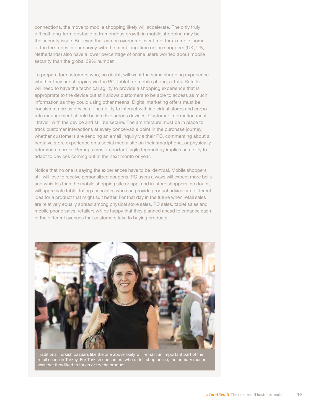connections, the move to mobile shopping likely will accelerate. The only truly difficult long-term obstacle to tremendous growth in mobile shopping may be the security issue. But even that can be overcome over time; for example, some of the territories in our survey with the most long-time online shoppers (UK, US, Netherlands) also have a lower percentage of online users worried about mobile security than the global 39% number.

To prepare for customers who, no doubt, will want the same shopping experience whether they are shopping via the PC, tablet, or mobile phone, a Total Retailer will need to have the technical agility to provide a shopping experience that is appropriate to the device but still allows customers to be able to access as much information as they could using other means. Digital marketing offers must be consistent across devices. The ability to interact with individual stores and corporate management should be intuitive across devices. Customer information must "travel" with the device and still be secure. The architecture must be in place to track customer interactions at every conceivable point in the purchase journey, whether customers are sending an email inquiry via their PC, commenting about a negative store experience on a social media site on their smartphone, or physically returning an order. Perhaps most important, agile technology implies an ability to adapt to devices coming out in the next month or year.

Notice that no one is saying the experiences have to be identical. Mobile shoppers still will love to receive personalized coupons, PC users always will expect more bells and whistles than the mobile shopping site or app, and in-store shoppers, no doubt, will appreciate tablet toting associates who can provide product advice or a different idea for a product that might suit better. For that day in the future when retail sales are relatively equally spread among physical store sales, PC sales, tablet sales and mobile phone sales, retailers will be happy that they planned ahead to enhance each of the different avenues that customers take to buying products.



Traditional Turkish bazaars like the one above likely will remain an important part of the retail scene in Turkey. For Turkish consumers who didn't shop online, the primary reason was that they liked to touch or try the product.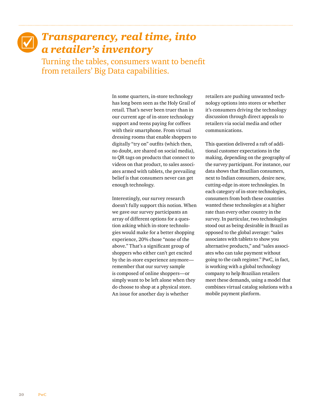## *Transparency, real time, into a retailer's inventory*

Turning the tables, consumers want to benefit from retailers' Big Data capabilities.

> In some quarters, in-store technology has long been seen as the Holy Grail of retail. That's never been truer than in our current age of in-store technology support and teens paying for coffees with their smartphone. From virtual dressing rooms that enable shoppers to digitally "try on" outfits (which then, no doubt, are shared on social media), to QR tags on products that connect to videos on that product, to sales associates armed with tablets, the prevailing belief is that consumers never can get enough technology.

> Interestingly, our survey research doesn't fully support this notion. When we gave our survey participants an array of different options for a question asking which in-store technologies would make for a better shopping experience, 20% chose "none of the above." That's a significant group of shoppers who either can't get excited by the in-store experience anymore remember that our survey sample is composed of online shoppers—or simply want to be left alone when they do choose to shop at a physical store. An issue for another day is whether

retailers are pushing unwanted technology options into stores or whether it's consumers driving the technology discussion through direct appeals to retailers via social media and other communications.

This question delivered a raft of additional customer expectations in the making, depending on the geography of the survey participant. For instance, our data shows that Brazilian consumers, next to Indian consumers, desire new, cutting-edge in-store technologies. In each category of in-store technologies, consumers from both these countries wanted these technologies at a higher rate than every other country in the survey. In particular, two technologies stood out as being desirable in Brazil as opposed to the global average: "sales associates with tablets to show you alternative products," and "sales associates who can take payment without going to the cash register." PwC, in fact, is working with a global technology company to help Brazilian retailers meet these demands, using a model that combines virtual catalog solutions with a mobile payment platform.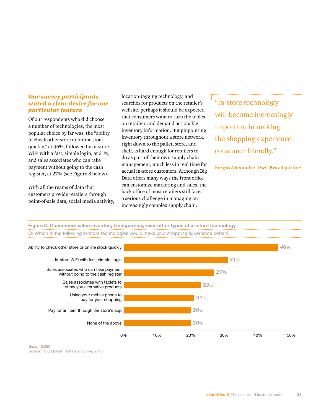#### *Our survey participants stated a clear desire for one particular feature*

Of our respondents who did choose a number of technologies, the most popular choice by far was, the "ability to check other store or online stock quickly," at 46%; followed by in-store WiFi with a fast, simple login, at 31%; and sales associates who can take payment without going to the cash register, at 27% (see Figure 8 below).

With all the reams of data that customers provide retailers through point-of-sale data, social media activity, location-tagging technology, and searches for products on the retailer's website, perhaps it should be expected that consumers want to turn the tables on retailers and demand actionable inventory information. But pinpointing inventory throughout a store network, right down to the pallet, store, and shelf, is hard enough for retailers to do as part of their own supply chain management, much less in real time for actual in-store customers. Although Big Data offers many ways the front office can customize marketing and sales, the back office of most retailers still faces a serious challenge in managing an increasingly complex supply chain.

"In-store technology will become increasingly important in making the shopping experience consumer friendly."

**Sergio Alexandre, PwC Brazil partner**



Base: 15,080 Source: PwC Global Total Retail Survey 2013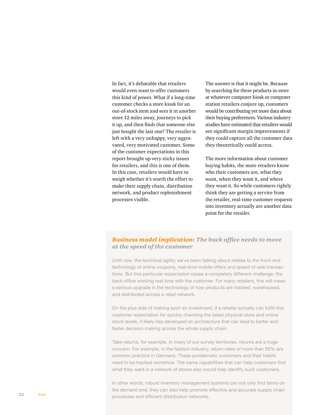In fact, it's debatable that retailers would even want to offer customers this kind of power. What if a long-time customer checks a store kiosk for an out-of-stock item and sees it in another store 12 miles away, journeys to pick it up, and then finds that someone else just bought the last one? The retailer is left with a very unhappy, very aggravated, very motivated customer. Some of the customer expectations in this report brought up very sticky issues for retailers, and this is one of them. In this case, retailers would have to weigh whether it's worth the effort to make their supply chain, distribution network, and product replenishment processes visible.

The answer is that it might be. Because by searching for these products in-store at whatever computer kiosk or computer station retailers conjure up, customers would be contributing yet more data about their buying preferences. Various industry studies have estimated that retailers would see significant margin improvements if they could capture all the customer data they theoretically could access.

The more information about customer buying habits, the more retailers know who their customers are, what they want, when they want it, and where they want it. So while customers rightly think they are getting a service from the retailer, real-time customer requests into inventory actually are another data point for the retailer.

#### *Business model implication: The back office needs to move at the speed of the customer*

Until now, the technical agility we've been talking about relates to the front-end technology of online coupons, real-time mobile offers and speed of web transactions. But this particular expectation raises a completely different challenge: the back office working real time with the customer. For many retailers, this will mean a serious upgrade in the technology of how products are tracked, warehoused, and distributed across a retail network.

On the plus side of making such an investment, if a retailer actually can fulfill this customer expectation for quickly checking the latest physical store and online stock levels, it likely has developed an architecture that can lead to better and faster decision making across the whole supply chain.

Take returns, for example. In many of our survey territories, returns are a huge concern. For example, in the fashion industry, return rates of more than 50% are common practice in Germany. These problematic customers and their habits need to be tracked somehow. The same capabilities that can help customers find what they want in a network of stores also would help identify such customers.

In other words, robust inventory management systems can not only find items on the demand end, they can also help promote effective and accurate supply chain processes and efficient distribution networks.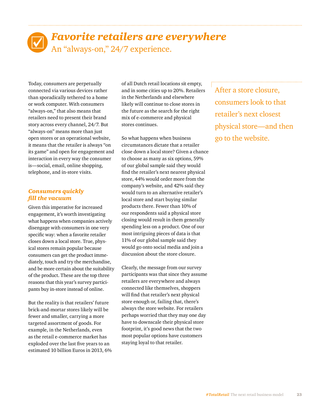## *Favorite retailers are everywhere* An "always-on," 24/7 experience.

Today, consumers are perpetually connected via various devices rather than sporadically tethered to a home or work computer. With consumers "always-on," that also means that retailers need to present their brand story across every channel, 24/7. But "always-on" means more than just open stores or an operational website, it means that the retailer is always "on its game" and open for engagement and interaction in every way the consumer is—social, email, online shopping, telephone, and in-store visits.

#### *Consumers quickly fill the vacuum*

Given this imperative for increased engagement, it's worth investigating what happens when companies actively disengage with consumers in one very specific way: when a favorite retailer closes down a local store. True, physical stores remain popular because consumers can get the product immediately, touch and try the merchandise, and be more certain about the suitability of the product. These are the top three reasons that this year's survey participants buy in-store instead of online.

But the reality is that retailers' future brick-and-mortar stores likely will be fewer and smaller, carrying a more targeted assortment of goods. For example, in the Netherlands, even as the retail e-commerce market has exploded over the last five years to an estimated 10 billion Euros in 2013, 6% of all Dutch retail locations sit empty, and in some cities up to 20%. Retailers in the Netherlands and elsewhere likely will continue to close stores in the future as the search for the right mix of e-commerce and physical stores continues.

So what happens when business circumstances dictate that a retailer close down a local store? Given a chance to choose as many as six options, 59% of our global sample said they would find the retailer's next nearest physical store, 44% would order more from the company's website, and 42% said they would turn to an alternative retailer's local store and start buying similar products there. Fewer than 10% of our respondents said a physical store closing would result in them generally spending less on a product. One of our most intriguing pieces of data is that 11% of our global sample said they would go onto social media and join a discussion about the store closure.

Clearly, the message from our survey participants was that since they assume retailers are everywhere and always connected like themselves, shoppers will find that retailer's next physical store enough or, failing that, there's always the store website. For retailers perhaps worried that they may one day have to downscale their physical store footprint, it's good news that the two most popular options have customers staying loyal to that retailer.

After a store closure, consumers look to that retailer's next closest physical store—and then go to the website.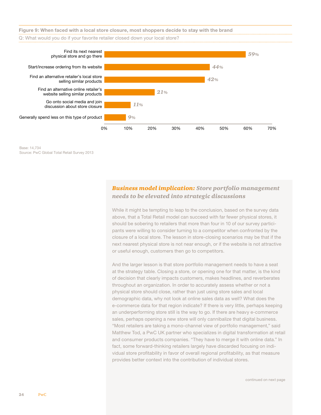

Base: 14,734 Source: PwC Global Total Retail Survey 2013

#### *Business model implication: Store portfolio management needs to be elevated into strategic discussions*

While it might be tempting to leap to the conclusion, based on the survey data above, that a Total Retail model can succeed with far fewer physical stores, it should be sobering to retailers that more than four in 10 of our survey participants were willing to consider turning to a competitor when confronted by the closure of a local store. The lesson in store-closing scenarios may be that if the next nearest physical store is not near enough, or if the website is not attractive or useful enough, customers then go to competitors.

And the larger lesson is that store portfolio management needs to have a seat at the strategy table. Closing a store, or opening one for that matter, is the kind of decision that clearly impacts customers, makes headlines, and reverberates throughout an organization. In order to accurately assess whether or not a physical store should close, rather than just using store sales and local demographic data, why not look at online sales data as well? What does the e-commerce data for that region indicate? If there is very little, perhaps keeping an underperforming store still is the way to go. If there are heavy e-commerce sales, perhaps opening a new store will only cannibalize that digital business. "Most retailers are taking a mono-channel view of portfolio management," said Matthew Tod, a PwC UK partner who specializes in digital transformation at retail and consumer products companies. "They have to merge it with online data." In fact, some forward-thinking retailers largely have discarded focusing on individual store profitability in favor of overall regional profitability, as that measure provides better context into the contribution of individual stores.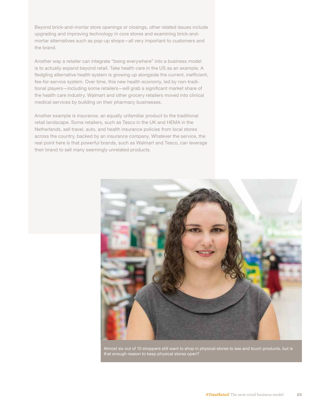Beyond brick-and-mortar store openings or closings, other related issues include upgrading and improving technology in core stores and examining brick-andmortar alternatives such as pop-up shops—all very important to customers and the brand.

Another way a retailer can integrate "being everywhere" into a business model is to actually expand beyond retail. Take health care in the US as an example. A fledgling alternative health system is growing up alongside the current, inefficient, fee-for-service system. Over time, this new health economy, led by non-traditional players—including some retailers—will grab a significant market share of the health care industry. Walmart and other grocery retailers moved into clinical medical services by building on their pharmacy businesses.

Another example is insurance, an equally unfamiliar product to the traditional retail landscape. Some retailers, such as Tesco in the UK and HEMA in the Netherlands, sell travel, auto, and health insurance policies from local stores across the country, backed by an insurance company. Whatever the service, the real point here is that powerful brands, such as Walmart and Tesco, can leverage their brand to sell many seemingly unrelated products.



Almost six out of 10 shoppers still want to shop in physical stores to see and touch products, but is that enough reason to keep physical stores open?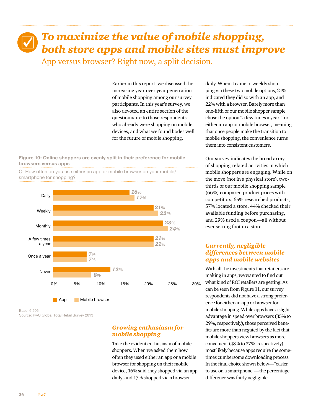## *To maximize the value of mobile shopping, both store apps and mobile sites must improve* App versus browser? Right now, a split decision.

Earlier in this report, we discussed the increasing year-over-year penetration of mobile shopping among our survey participants. In this year's survey, we also devoted an entire section of the questionnaire to those respondents who already were shopping on mobile devices, and what we found bodes well for the future of mobile shopping.

**Figure 10: Online shoppers are evenly split in their preference for mobile browsers versus apps**



**App** Mobile browser

Q: How often do you use either an app or mobile browser on your mobile/ smartphone for shopping?

Base: 6,506 Source: PwC Global Total Retail Survey 2013

#### *Growing enthusiasm for mobile shopping*

Take the evident enthusiasm of mobile shoppers. When we asked them how often they used either an app or a mobile browser for shopping on their mobile device, 16% said they shopped via an app daily, and 17% shopped via a browser

daily. When it came to weekly shopping via these two mobile options, 21% indicated they did so with an app, and 22% with a browser. Barely more than one-fifth of our mobile shopper sample chose the option "a few times a year" for either an app or mobile browser, meaning that once people make the transition to mobile shopping, the convenience turns them into consistent customers.

Our survey indicates the broad array of shopping-related activities in which mobile shoppers are engaging. While on the move (not in a physical store), twothirds of our mobile shopping sample (66%) compared product prices with competitors, 65% researched products, 57% located a store, 44% checked their available funding before purchasing, and 29% used a coupon—all without ever setting foot in a store.

#### *Currently, negligible differences between mobile apps and mobile websites*

With all the investments that retailers are making in apps, we wanted to find out what kind of ROI retailers are getting. As can be seen from Figure 11, our survey respondents did not have a strong preference for either an app or browser for mobile shopping. While apps have a slight advantage in speed over browsers (35% to 29%, respectively), those perceived benefits are more than negated by the fact that mobile shoppers view browsers as more convenient (48% to 37%, respectively), most likely because apps require the sometimes cumbersome downloading process. In the final choice shown below—"easier to use on a smartphone"—the percentage difference was fairly negligible.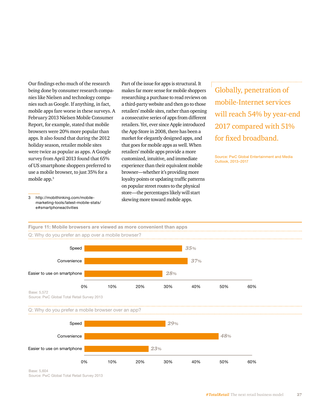Our findings echo much of the research being done by consumer research companies like Nielsen and technology companies such as Google. If anything, in fact, mobile apps fare worse in these surveys. A February 2013 Nielsen Mobile Consumer Report, for example, stated that mobile browsers were 20% more popular than apps. It also found that during the 2012 holiday season, retailer mobile sites were twice as popular as apps. A Google survey from April 2013 found that 65% of US smartphone shoppers preferred to use a mobile browser, to just 35% for a mobile app.<sup>3</sup>

Part of the issue for apps is structural. It makes far more sense for mobile shoppers researching a purchase to read reviews on a third-party website and then go to those retailers' mobile sites, rather than opening a consecutive series of apps from different retailers. Yet, ever since Apple introduced the App Store in 2008, there has been a market for elegantly designed apps, and that goes for mobile apps as well. When retailers' mobile apps provide a more customized, intuitive, and immediate experience than their equivalent mobile browser—whether it's providing more loyalty points or updating traffic patterns on popular street routes to the physical store—the percentages likely will start skewing more toward mobile apps.

Globally, penetration of mobile-Internet services will reach 54% by year-end 2017 compared with 51% for fixed broadband.

Source: PwC Global Entertainment and Media Outlook, 2013–2017

3 http://mobithinking.com/mobilemarketing-tools/latest-mobile-stats/ e#smartphoneactivities

**Figure 11: Mobile browsers are viewed as more convenient than apps**

#### 0% 10% 20% 30% 40% 50% 60% Speed Convenience Easier to use on smartphone *35% 37% 28%* Base: 5,572 Source: PwC Global Total Retail Survey 2013 Q: Why do you prefer an app over a mobile browser? Q: Why do you prefer a mobile browser over an app?



Base: 5,604 Source: PwC Global Total Retail Survey 2013

*#TotalRetail* The next retail business model 27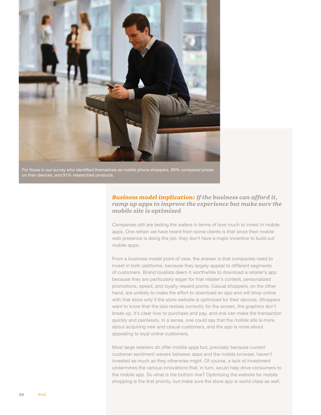

For those in our survey who identified themselves as mobile phone shoppers, 89% compared prices on their devices, and 91% researched products.

#### *Business model implication: If the business can afford it, ramp up apps to improve the experience but make sure the mobile site is optimized*

Companies still are testing the waters in terms of how much to invest in mobile apps. One refrain we have heard from some clients is that since their mobile web presence is doing the job, they don't have a major incentive to build out mobile apps.

From a business model point of view, the answer is that companies need to invest in both platforms, because they largely appeal to different segments of customers. Brand loyalists deem it worthwhile to download a retailer's app because they are particularly eager for that retailer's content, personalized promotions, speed, and loyalty reward points. Casual shoppers, on the other hand, are unlikely to make the effort to download an app and will shop online with that store only if the store website is optimized for their devices. Shoppers want to know that the size resizes correctly for the screen, the graphics don't break up, it's clear how to purchase and pay, and one can make the transaction quickly and painlessly. In a sense, one could say that the mobile site is more about acquiring new and casual customers, and the app is more about appealing to loyal online customers.

Most large retailers do offer mobile apps but, precisely because current customer sentiment wavers between apps and the mobile browser, haven't invested as much as they otherwise might. Of course, a lack of investment undermines the various innovations that, in turn, would help drive consumers to the mobile app. So what is the bottom line? Optimizing the website for mobile shopping is the first priority, but make sure the store app is world class as well.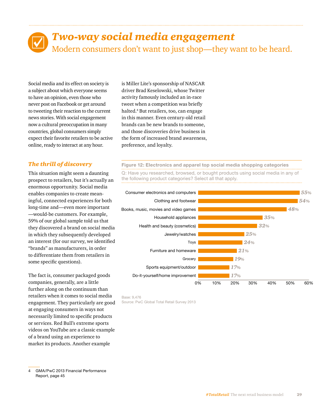## *Two-way social media engagement* Modern consumers don't want to just shop—they want to be heard.

Social media and its effect on society is a subject about which everyone seems to have an opinion, even those who never post on Facebook or get around to tweeting their reaction to the current news stories. With social engagement now a cultural preoccupation in many countries, global consumers simply expect their favorite retailers to be active online, ready to interact at any hour.

#### *The thrill of discovery*

This situation might seem a daunting prospect to retailers, but it's actually an enormous opportunity. Social media enables companies to create meaningful, connected experiences for both long-time and—even more important —would-be customers. For example, 59% of our global sample told us that they discovered a brand on social media in which they subsequently developed an interest (for our survey, we identified "brands" as manufacturers, in order to differentiate them from retailers in some specific questions).

The fact is, consumer packaged goods companies, generally, are a little further along on the continuum than retailers when it comes to social media engagement. They particularly are good at engaging consumers in ways not necessarily limited to specific products or services. Red Bull's extreme sports videos on YouTube are a classic example of a brand using an experience to market its products. Another example

4 GMA/PwC 2013 Financial Performance Report, page 45

is Miller Lite's sponsorship of NASCAR driver Brad Keselowski, whose Twitter activity famously included an in-race tweet when a competition was briefly halted.4 But retailers, too, can engage in this manner. Even century-old retail brands can be new brands to someone, and those discoveries drive business in the form of increased brand awareness, preference, and loyalty.

**Figure 12: Electronics and apparel top social media shopping categories** Q: Have you researched, browsed, or bought products using social media in any of the following product categories? Select all that apply.



Base: 9,476 Source: PwC Global Total Retail Survey 2013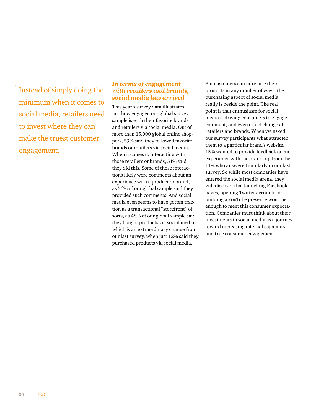Instead of simply doing the minimum when it comes to social media, retailers need to invest where they can make the truest customer engagement.

#### *In terms of engagement with retailers and brands, social media has arrived*

This year's survey data illustrates just how engaged our global survey sample is with their favorite brands and retailers via social media. Out of more than 15,000 global online shoppers, 59% said they followed favorite brands or retailers via social media. When it comes to interacting with those retailers or brands, 51% said they did this. Some of those interactions likely were comments about an experience with a product or brand, as 56% of our global sample said they provided such comments. And social media even seems to have gotten traction as a transactional "storefront" of sorts, as 48% of our global sample said they bought products via social media, which is an extraordinary change from our last survey, when just 12% said they purchased products via social media.

But customers can purchase their products in any number of ways; the purchasing aspect of social media really is beside the point. The real point is that enthusiasm for social media is driving consumers to engage, comment, and even effect change at retailers and brands. When we asked our survey participants what attracted them to a particular brand's website, 15% wanted to provide feedback on an experience with the brand, up from the 11% who answered similarly in our last survey. So while most companies have entered the social media arena, they will discover that launching Facebook pages, opening Twitter accounts, or building a YouTube presence won't be enough to meet this consumer expectation. Companies must think about their investments in social media as a journey toward increasing internal capability and true consumer engagement.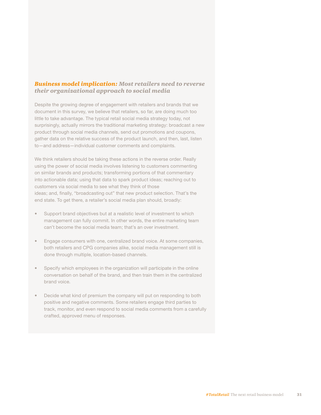#### *Business model implication: Most retailers need to reverse their organizational approach to social media*

Despite the growing degree of engagement with retailers and brands that we document in this survey, we believe that retailers, so far, are doing much too little to take advantage. The typical retail social media strategy today, not surprisingly, actually mirrors the traditional marketing strategy: broadcast a new product through social media channels, send out promotions and coupons, gather data on the relative success of the product launch, and then, last, listen to—and address—individual customer comments and complaints.

We think retailers should be taking these actions in the reverse order. Really using the power of social media involves listening to customers commenting on similar brands and products; transforming portions of that commentary into actionable data; using that data to spark product ideas; reaching out to customers via social media to see what they think of those ideas; and, finally, "broadcasting out" that new product selection. That's the end state. To get there, a retailer's social media plan should, broadly:

- Support brand objectives but at a realistic level of investment to which management can fully commit. In other words, the entire marketing team can't become the social media team; that's an over investment.
- Engage consumers with one, centralized brand voice. At some companies, both retailers and CPG companies alike, social media management still is done through multiple, location-based channels.
- Specify which employees in the organization will participate in the online conversation on behalf of the brand, and then train them in the centralized brand voice.
- Decide what kind of premium the company will put on responding to both positive and negative comments. Some retailers engage third parties to track, monitor, and even respond to social media comments from a carefully crafted, approved menu of responses.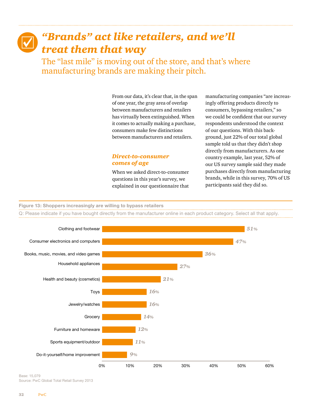## *"Brands" act like retailers, and we'll treat them that way*

The "last mile" is moving out of the store, and that's where manufacturing brands are making their pitch.

> From our data, it's clear that, in the span of one year, the gray area of overlap between manufacturers and retailers has virtually been extinguished. When it comes to actually making a purchase, consumers make few distinctions between manufacturers and retailers.

#### *Direct-to-consumer comes of age*

When we asked direct-to-consumer questions in this year's survey, we explained in our questionnaire that manufacturing companies "are increasingly offering products directly to consumers, bypassing retailers," so we could be confident that our survey respondents understood the context of our questions. With this background, just 22% of our total global sample told us that they didn't shop directly from manufacturers. As one country example, last year, 52% of our US survey sample said they made purchases directly from manufacturing brands, while in this survey, 70% of US participants said they did so.

#### **Figure 13: Shoppers increasingly are willing to bypass retailers**

Q: Please indicate if you have bought directly from the manufacturer online in each product category. Select all that apply.



Base: 15,079 Source: PwC Global Total Retail Survey 2013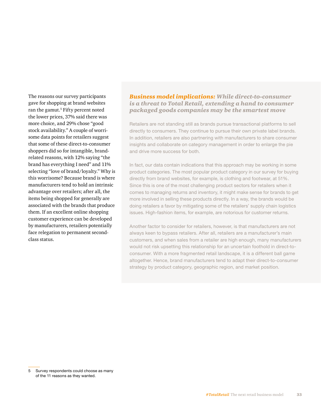The reasons our survey participants gave for shopping at brand websites ran the gamut.<sup>5</sup> Fifty percent noted the lower prices, 37% said there was more choice, and 29% chose "good stock availability." A couple of worrisome data points for retailers suggest that some of these direct-to-consumer shoppers did so for intangible, brandrelated reasons, with 12% saying "the brand has everything I need" and 11% selecting "love of brand/loyalty." Why is this worrisome? Because brand is where manufacturers tend to hold an intrinsic advantage over retailers; after all, the items being shopped for generally are associated with the brands that produce them. If an excellent online shopping customer experience can be developed by manufacturers, retailers potentially face relegation to permanent secondclass status.

#### *Business model implications: While direct-to-consumer is a threat to Total Retail, extending a hand to consumer packaged goods companies may be the smartest move*

Retailers are not standing still as brands pursue transactional platforms to sell directly to consumers. They continue to pursue their own private label brands. In addition, retailers are also partnering with manufacturers to share consumer insights and collaborate on category management in order to enlarge the pie and drive more success for both.

In fact, our data contain indications that this approach may be working in some product categories. The most popular product category in our survey for buying directly from brand websites, for example, is clothing and footwear, at 51%. Since this is one of the most challenging product sectors for retailers when it comes to managing returns and inventory, it might make sense for brands to get more involved in selling these products directly. In a way, the brands would be doing retailers a favor by mitigating some of the retailers' supply chain logistics issues. High-fashion items, for example, are notorious for customer returns.

Another factor to consider for retailers, however, is that manufacturers are not always keen to bypass retailers. After all, retailers are a manufacturer's main customers, and when sales from a retailer are high enough, many manufacturers would not risk upsetting this relationship for an uncertain foothold in direct-toconsumer. With a more fragmented retail landscape, it is a different ball game altogether. Hence, brand manufacturers tend to adapt their direct-to-consumer strategy by product category, geographic region, and market position.

<sup>5</sup> Survey respondents could choose as many of the 11 reasons as they wanted.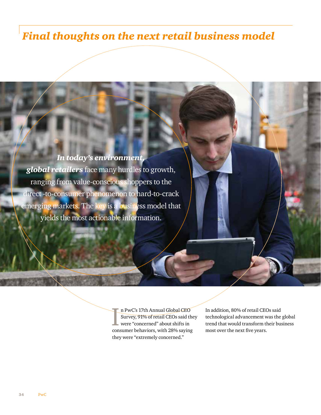## *Final thoughts on the next retail business model*

## *In today's environment, global retailers* face many hurdles to growth,

ranging from value-conscious shoppers to the direct -to-consumer phenomenon to hard-to-crack emerging markets. The key is a business model that yields the most actionable information.

> In PwC's 17th Annual Global CEO<br>Survey, 91% of retail CEOs said the<br>were "concerned" about shifts in<br>consumer behaviors, with 28% saying n PwC's 17th Annual Global CEO Survey, 91% of retail CEOs said they were "concerned" about shifts in they were "extremely concerned."

In addition, 80% of retail CEOs said technological advancement was the global trend that would transform their business most over the next five years.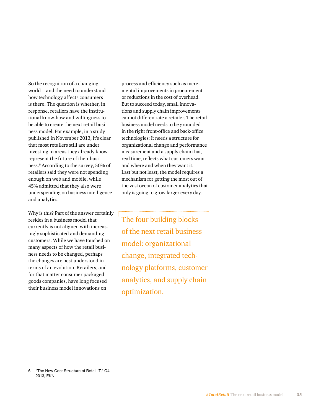So the recognition of a changing world—and the need to understand how technology affects consumers is there. The question is whether, in response, retailers have the institutional know-how and willingness to be able to create the next retail business model. For example, in a study published in November 2013, it's clear that most retailers still are under investing in areas they already know represent the future of their business.6 According to the survey, 50% of retailers said they were not spending enough on web and mobile, while 45% admitted that they also were underspending on business intelligence and analytics.

Why is this? Part of the answer certainly resides in a business model that currently is not aligned with increasingly sophisticated and demanding customers. While we have touched on many aspects of how the retail business needs to be changed, perhaps the changes are best understood in terms of an evolution. Retailers, and for that matter consumer packaged goods companies, have long focused their business model innovations on

process and efficiency such as incremental improvements in procurement or reductions in the cost of overhead. But to succeed today, small innovations and supply chain improvements cannot differentiate a retailer. The retail business model needs to be grounded in the right front-office and back-office technologies: It needs a structure for organizational change and performance measurement and a supply chain that, real time, reflects what customers want and where and when they want it. Last but not least, the model requires a mechanism for getting the most out of the vast ocean of customer analytics that only is going to grow larger every day.

The four building blocks of the next retail business model: organizational change, integrated technology platforms, customer analytics, and supply chain optimization.

<sup>6</sup> "The New Cost Structure of Retail IT," Q4 2013, EKN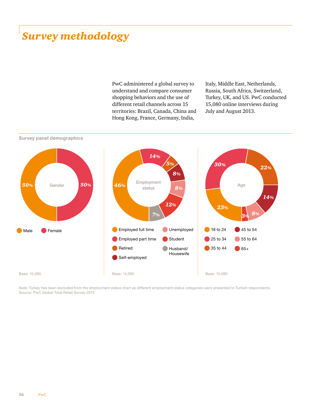## *Survey methodology*

PwC administered a global survey to understand and compare consumer shopping behaviors and the use of different retail channels across 15 territories: Brazil, Canada, China and Hong Kong, France, Germany, India,

Italy, Middle East, Netherlands, Russia, South Africa, Switzerland, Turkey, UK, and US. PwC conducted 15,080 online interviews during July and August 2013.



Note: Turkey has been excluded from the employment status chart as different employment status categories were presented to Turkish respondents. Source: PwC Global Total Retail Survey 2013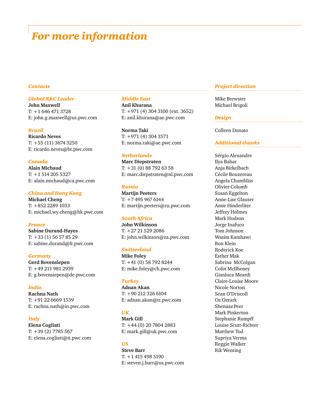## *For more information*

#### *Global R&C Leader*

**John Maxwell** T: +1 646 471 3728 E: john.g.maxwell@us.pwc.com

#### *Brazil*

**Ricardo Neves** T: +55 (11) 3674 3250 E: ricardo.neves@br.pwc.com

#### *Canada*

**Alain Michaud** T: +1 514 205 5327 E: alain.michaud@ca.pwc.com

#### *China and Hong Kong*

**Michael Cheng** T: +852 2289 1033 E: michael.wy.cheng@hk.pwc.com

#### *France*

**Sabine Durand-Hayes** T: +33 (1) 56 57 85 29 E: sabine.durand@fr.pwc.com

*Germany* **Gerd Bovensiepen** T: +49 211 981 2939 E: g.bovensiepen@de.pwc.com

*India* **Rachna Nath** T: +91 22 6669 1539 E: rachna.nath@in.pwc.com

*Italy* **Elena Cogliati**  T: +39 (2) 7785 567 E: elena.cogliati@it.pwc.com

#### *Middle East*

**Anil Khurana** T: +971 (4) 304 3100 (ext. 3652) E: anil.khurana@ae.pwc.com

**Norma Taki** T: +971 (4) 304 3571 E: norma.taki@ae.pwc.com

#### *Netherlands*

**Marc Diepstraten** T: +31 (0) 88 792 63 58 E: marc.diepstraten@nl.pwc.com

#### *Russia*

**Martijn Peeters** T: +7 495 967 6144 E: martijn.peeters@ru.pwc.com

#### *South Africa*

**John Wilkinson** T: +27 21 529 2086 E: john.wilkinson@za.pwc.com

#### *Switzerland*

**Mike Foley** T: +41 (0) 58 792 8244 E: mike.foley@ch.pwc.com

#### *Turkey*

**Adnan Akan** T: +90 212 326 6104 E: adnan.akan@tr.pwc.com

#### *UK*

**Mark Gill** T: +44 (0) 20 7804 2883 E: mark.gill@uk.pwc.com

#### *US*

**Steve Barr** T: +1 415 498 5190 E: steven.j.barr@us.pwc.com

#### *Contacts Project direction*

Mike Brewster Michael Brigoli

#### *Design*

Colleen Donato

#### *Additional thanks*

Sérgio Alexandre Ilya Bahar Anja Birkelbach Cécile Bouzereau Angela Chambliss Olivier Colomb Susan Eggelton Anne-Lise Glauser Amie Hinderliter Jeffrey Holmes Mark Hudson Jorge Inafuco Tom Johnson Wasim Kamhawi Ron Klein Roderick Koe Esther Mak Sabrina McColgan Colin McIlheney Gianluca Meardi Claire-Louise Moore Nicole Norton Sean O'Driscoll Oz Ozturk Shenaaz Peer Mark Pinkerton Stephanie Rumpff Louise Scutt-Richter Matthew Tod Supriya Verma Reggie Walker Rik Wenting